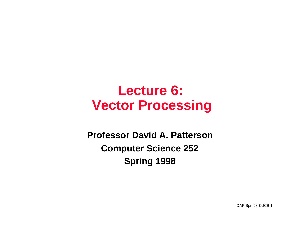#### **Lecture 6: Vector Processing**

**Professor David A. Patterson Computer Science 252 Spring 1998**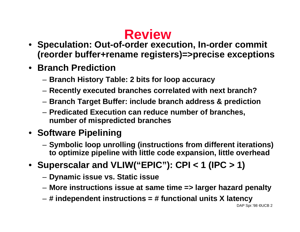# **Review**

- **Speculation: Out-of-order execution, In-order commit (reorder buffer+rename registers)=>precise exceptions**
- **Branch Prediction**
	- **Branch History Table: 2 bits for loop accuracy**
	- **Recently executed branches correlated with next branch?**
	- **Branch Target Buffer: include branch address & prediction**
	- **Predicated Execution can reduce number of branches, number of mispredicted branches**
- **Software Pipelining**
	- **Symbolic loop unrolling (instructions from different iterations) to optimize pipeline with little code expansion, little overhead**
- **Superscalar and VLIW("EPIC"): CPI < 1 (IPC > 1)**
	- **Dynamic issue vs. Static issue**
	- **More instructions issue at same time => larger hazard penalty**
	- **# independent instructions = # functional units X latency**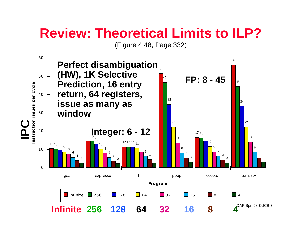#### **Review: Theoretical Limits to ILP?**

(Figure 4.48, Page 332)

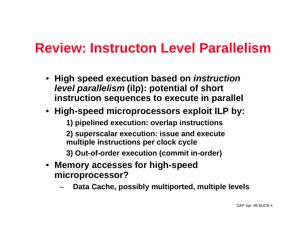#### **Review: Instructon Level Parallelism**

- **High speed execution based on instruction level parallelism (ilp): potential of short instruction sequences to execute in parallel**
- **High-speed microprocessors exploit ILP by:**
	- **1) pipelined execution: overlap instructions**
	- **2) superscalar execution: issue and execute multiple instructions per clock cycle**
	- **3) Out-of-order execution (commit in-order)**
- **Memory accesses for high-speed microprocessor?**
	- **Data Cache, possibly multiported, multiple levels**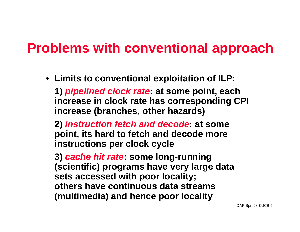#### **Problems with conventional approach**

• **Limits to conventional exploitation of ILP:**

**1) pipelined clock rate: at some point, each increase in clock rate has corresponding CPI increase (branches, other hazards)**

**2) instruction fetch and decode: at some point, its hard to fetch and decode more instructions per clock cycle**

**3) cache hit rate: some long-running (scientific) programs have very large data sets accessed with poor locality; others have continuous data streams (multimedia) and hence poor locality**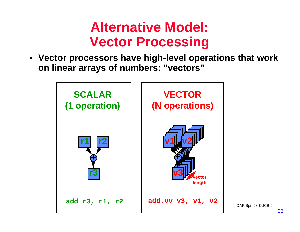## **Alternative Model: Vector Processing**

• **Vector processors have high-level operations that work on linear arrays of numbers: "vectors"**

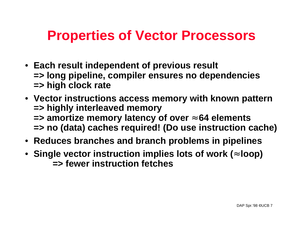#### **Properties of Vector Processors**

- **Each result independent of previous result => long pipeline, compiler ensures no dependencies => high clock rate**
- **Vector instructions access memory with known pattern => highly interleaved memory => amortize memory latency of over 64 elements => no (data) caches required! (Do use instruction cache)**
- **Reduces branches and branch problems in pipelines**
- **Single vector instruction implies lots of work ( loop) => fewer instruction fetches**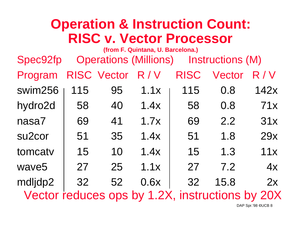## **Operation & Instruction Count: RISC v. Vector Processor**

|                                                 |     |                              | (from F. Quintana, U. Barcelona.) |             |                  |      |  |
|-------------------------------------------------|-----|------------------------------|-----------------------------------|-------------|------------------|------|--|
| Spec92fp                                        |     | <b>Operations (Millions)</b> |                                   |             | Instructions (M) |      |  |
| Program                                         |     | <b>RISC Vector</b>           | R/V                               | <b>RISC</b> | Vector           | R/V  |  |
| swim256                                         | 115 | 95                           | 1.1x                              | 115         | 0.8              | 142x |  |
| hydro2d                                         | 58  | 40                           | 1.4x                              | 58          | 0.8              | 71x  |  |
| nasa7                                           | 69  | 41                           | 1.7x                              | 69          | 2.2              | 31x  |  |
| su <sub>2</sub> cor                             | 51  | 35                           | 1.4x                              | 51          | 1.8              | 29x  |  |
| tomcatv                                         | 15  | 10                           | 1.4x                              | 15          | 1.3              | 11x  |  |
| wave5                                           | 27  | 25                           | 1.1x                              | 27          | 7.2              | 4x   |  |
| mdljdp2                                         | 32  | 52                           | 0.6x                              | 32          | 15.8             | 2x   |  |
| Vector reduces ops by 1.2X, instructions by 20X |     |                              |                                   |             |                  |      |  |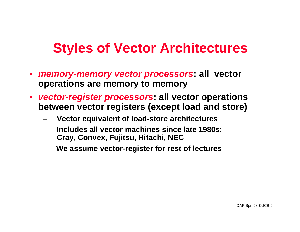#### **Styles of Vector Architectures**

- **memory-memory vector processors: all vector operations are memory to memory**
- **vector-register processors: all vector operations between vector registers (except load and store)**
	- **Vector equivalent of load-store architectures**
	- **Includes all vector machines since late 1980s: Cray, Convex, Fujitsu, Hitachi, NEC**
	- – **We assume vector-register for rest of lectures**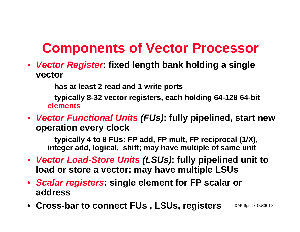## **Components of Vector Processor**

- **Vector Register: fixed length bank holding a single vector**
	- **has at least 2 read and 1 write ports**
	- **typically 8-32 vector registers, each holding 64-128 64-bit elements**
- **Vector Functional Units (FUs): fully pipelined, start new operation every clock**
	- **typically 4 to 8 FUs: FP add, FP mult, FP reciprocal (1/X), integer add, logical, shift; may have multiple of same unit**
- **Vector Load-Store Units (LSUs): fully pipelined unit to load or store a vector; may have multiple LSUs**

- **Scalar registers: single element for FP scalar or address**
- **Cross-bar to connect FUs , LSUs, registers**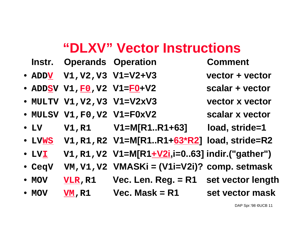#### **"DLXV" Vector Instructions**

|               | <b>Instr. Operands Operation</b>      |                                                         | <b>Comment</b>  |
|---------------|---------------------------------------|---------------------------------------------------------|-----------------|
|               | • ADDV $V1, V2, V3$ $V1 = V2 + V3$    |                                                         | vector + vector |
|               | • ADDSV V1, FO, V2 V1=FO+V2           |                                                         | scalar + vector |
|               | $\cdot$ MULTV V1, V2, V3 $V1 = V2xV3$ |                                                         | vector x vector |
|               | • MULSV V1, F0, V2 V1=F0xV2           |                                                         | scalar x vector |
| $\bullet$ LV  | V1, R1                                | $V1 = M[R1R1+63]$                                       | load, stride=1  |
| · LVWS        |                                       | V1, R1, R2 V1=M[R1R1+63*R2] load, stride=R2             |                 |
| $\bullet$ LVI |                                       | V1, R1, V2 $V1 = M[R1 + V2i] = 0.63$ ] indir.("gather") |                 |
| • CeqV        |                                       | VM, V1, V2 VMASKi = (V1i=V2i)? comp. setmask            |                 |
| • MOV         |                                       | $VLR, R1$ Vec. Len. Reg. = R1 set vector length         |                 |
| • MOV         | $VM$ , $R1$                           | <b>Vec. Mask = R1</b> set vector mask                   |                 |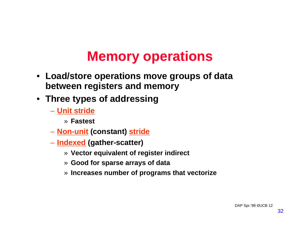## **Memory operations**

- **Load/store operations move groups of data between registers and memory**
- **Three types of addressing**
	- **Unit stride**
		- » **Fastest**
	- **Non-unit (constant) stride**
	- **Indexed (gather-scatter)**
		- » **Vector equivalent of register indirect**
		- » **Good for sparse arrays of data**
		- » **Increases number of programs that vectorize**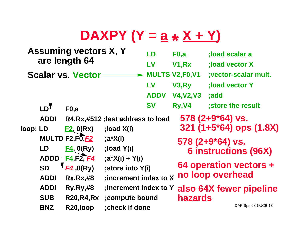#### DAXPY  $(Y = a * X + Y)$ **\* X + Y)**

|          |                   | <b>Assuming vectors X, Y</b><br>are length 64    |                                    | LD<br>LV    | F0, a<br>V1, Rx                | ;load scalar a<br>:load vector X |  |
|----------|-------------------|--------------------------------------------------|------------------------------------|-------------|--------------------------------|----------------------------------|--|
|          |                   | <b>Scalar vs. Vector</b>                         |                                    |             | <b>MULTS V2,F0,V1</b>          | ;vector-scalar mult.             |  |
|          |                   |                                                  |                                    | LV          | V3, Ry                         | :load vector Y                   |  |
|          |                   |                                                  |                                    | <b>ADDV</b> | <b>V4, V2, V3</b>              | ;add                             |  |
|          | LD <sup>T</sup>   | F <sub>0</sub> ,a                                |                                    | <b>SV</b>   | Ry <sub>,</sub> V <sub>4</sub> | ; store the result               |  |
|          | <b>ADDI</b>       |                                                  | R4, Rx, #512; last address to load |             |                                | $578(2+9*64)$ vs.                |  |
| loop: LD |                   | E2, 0(Rx)                                        | ;load $X(i)$                       |             |                                | 321 (1+5*64) ops (1.8X)          |  |
|          |                   | MULTD F2, $F\overline{0}$ , $F2$                 | $; a^*X(i)$                        |             |                                | $578(2+9*64)$ vs.                |  |
|          | LD                | E4, 0(Ry)                                        | ;load Y(i)                         |             |                                | <b>6 instructions (96X)</b>      |  |
|          | ADDD <sub>I</sub> | F <sub>4</sub> , F <sub>2</sub> , F <sub>4</sub> | $;a^*X(i) + Y(i)$                  |             |                                |                                  |  |
|          | <b>SD</b>         | F4,0(Ry)                                         | ;store into Y(i)                   |             |                                | 64 operation vectors +           |  |
|          | <b>ADDI</b>       | Rx, Rx, #8                                       | ;increment index to X              |             | no loop overhead               |                                  |  |
|          | <b>ADDI</b>       | Ry, Ry, #8                                       | ; increment index to Y             |             |                                | also 64X fewer pipeline          |  |
|          | <b>SUB</b>        | <b>R20, R4, Rx</b>                               | compute bound                      |             | <b>hazards</b>                 |                                  |  |
|          | <b>BNZ</b>        | R20, loop                                        | ; check if done                    |             |                                | DAP Spr.'98 CUCB 13              |  |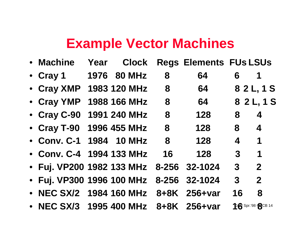## **Example Vector Machines**

| • Machine Year Clock Regs Elements FUs LSUs |  |         |                |                          |  |
|---------------------------------------------|--|---------|----------------|--------------------------|--|
| • Cray 1 1976 80 MHz 8                      |  | 64      | 6              | 1                        |  |
| • Cray XMP 1983 120 MHz 8                   |  | 64      |                | 8 2 L, 1 S               |  |
| • Cray YMP 1988 166 MHz 8 64 8 2 L, 1 S     |  |         |                |                          |  |
| • Cray C-90 1991 240 MHz 8                  |  | 128     | 8              | $\boldsymbol{4}$         |  |
| • Cray T-90 1996 455 MHz 8                  |  | 128     |                | $8 \qquad 4$             |  |
| • Conv. C-1 1984 10 MHz 8 128               |  |         | $\overline{4}$ | 1                        |  |
| • Conv. C-4 1994 133 MHz 16                 |  | $128$ 3 |                | 1                        |  |
| • Fuj. VP200 1982 133 MHz 8-256 32-1024 3 2 |  |         |                |                          |  |
| • Fuj. VP300 1996 100 MHz 8-256 32-1024     |  |         |                | 3 <sub>2</sub>           |  |
| • NEC SX/2 1984 160 MHz 8+8K 256+var        |  |         | 16             | 8                        |  |
| • NEC SX/3 1995 400 MHz 8+8K 256+var        |  |         |                | <b>16</b> Spr. 98 8CB 14 |  |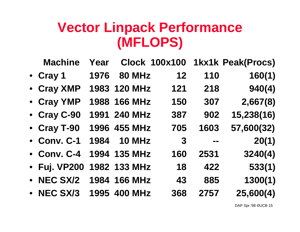#### **Vector Linpack Performance (MFLOPS)**

| <b>Machine</b>               | Year |               | <b>Clock 100x100</b> |                | 1kx1k Peak(Procs) |  |
|------------------------------|------|---------------|----------------------|----------------|-------------------|--|
| • Cray 1                     | 1976 | <b>80 MHz</b> | 12                   | 110            | 160(1)            |  |
| • Cray XMP                   |      | 1983 120 MHz  | 121                  | 218            | 940(4)            |  |
| • Cray YMP                   |      | 1988 166 MHz  | 150                  | 307            | 2,667(8)          |  |
| • Cray C-90                  |      | 1991 240 MHz  | 387                  | 902            | 15,238(16)        |  |
| • Cray T-90                  |      | 1996 455 MHz  | 705                  | 1603           | 57,600(32)        |  |
| • Conv. C-1                  | 1984 | <b>10 MHz</b> | $\boldsymbol{3}$     | $\blacksquare$ | 20(1)             |  |
| • Conv. C-4                  |      | 1994 135 MHz  | 160                  | 2531           | 3240(4)           |  |
| • Fuj. VP200                 |      | 1982 133 MHz  | 18                   | 422            | 533(1)            |  |
| <b>NEC SX/2</b><br>$\bullet$ |      | 1984 166 MHz  | 43                   | 885            | 1300(1)           |  |
| <b>NEC SX/3</b><br>$\bullet$ |      | 1995 400 MHz  | 368                  | 2757           | 25,600(4)         |  |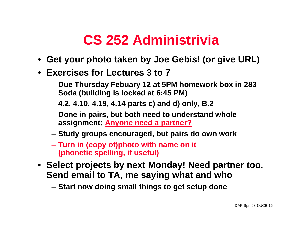#### **CS 252 Administrivia**

- **Get your photo taken by Joe Gebis! (or give URL)**
- **Exercises for Lectures 3 to 7**
	- **Due Thursday Febuary 12 at 5PM homework box in 283 Soda (building is locked at 6:45 PM)**
	- **4.2, 4.10, 4.19, 4.14 parts c) and d) only, B.2**
	- **Done in pairs, but both need to understand whole assignment; Anyone need a partner?**
	- **Study groups encouraged, but pairs do own work**
	- **Turn in (copy of)photo with name on it (phonetic spelling, if useful)**
- **Select projects by next Monday! Need partner too. Send email to TA, me saying what and who**
	- **Start now doing small things to get setup done**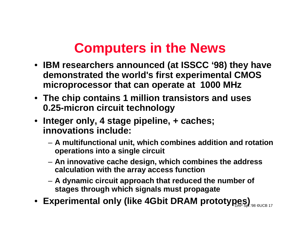## **Computers in the News**

- **IBM researchers announced (at ISSCC '98) they have demonstrated the world's first experimental CMOS microprocessor that can operate at 1000 MHz**
- **The chip contains 1 million transistors and uses 0.25-micron circuit technology**
- **Integer only, 4 stage pipeline, + caches; innovations include:**
	- **A multifunctional unit, which combines addition and rotation operations into a single circuit**
	- **An innovative cache design, which combines the address calculation with the array access function**
	- **A dynamic circuit approach that reduced the number of stages through which signals must propagate**
- Experimental only (like 4Gbit DRAM prototypes) <sub>இல்லை 17</sub>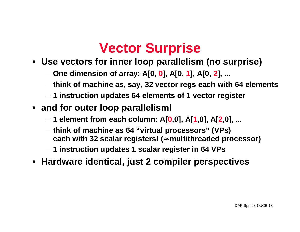## **Vector Surprise**

- **Use vectors for inner loop parallelism (no surprise)**
	- **One dimension of array: A[0, 0], A[0, 1], A[0, 2], ...**
	- **think of machine as, say, 32 vector regs each with 64 elements**
	- **1 instruction updates 64 elements of 1 vector register**
- **and for outer loop parallelism!** 
	- **1 element from each column: A[0,0], A[1,0], A[2,0], ...**
	- **think of machine as 64 "virtual processors" (VPs) each with 32 scalar registers! ( multithreaded processor)**
	- **1 instruction updates 1 scalar register in 64 VPs**
- **Hardware identical, just 2 compiler perspectives**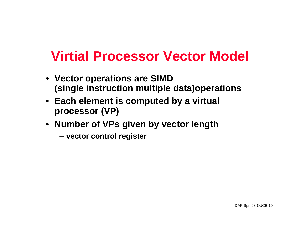## **Virtial Processor Vector Model**

- **Vector operations are SIMD (single instruction multiple data)operations**
- **Each element is computed by a virtual processor (VP)**
- **Number of VPs given by vector length**
	- **vector control register**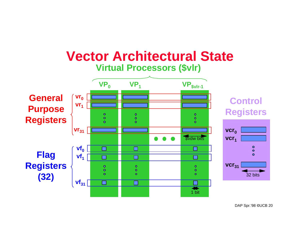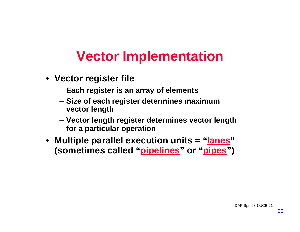# **Vector Implementation**

- **Vector register file**
	- **Each register is an array of elements**
	- **Size of each register determines maximum vector length**
	- **Vector length register determines vector length for a particular operation**
- **Multiple parallel execution units = "lanes" (sometimes called "pipelines" or "pipes")**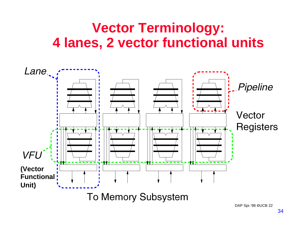#### **Vector Terminology: 4 lanes, 2 vector functional units**

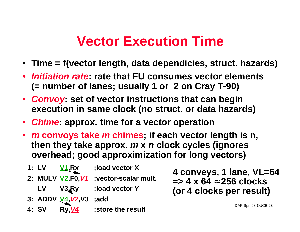## **Vector Execution Time**

- **Time = f(vector length, data dependicies, struct. hazards)**
- **Initiation rate: rate that FU consumes vector elements (= number of lanes; usually 1 or 2 on Cray T-90)**
- **Convoy: set of vector instructions that can begin execution in same clock (no struct. or data hazards)**
- **Chime: approx. time for a vector operation**
- **m convoys take m chimes; if each vector length is n, then they take approx. m x n clock cycles (ignores overhead; good approximization for long vectors)**
	- **1: LV V1,Rx ;load vector X**
	- **2: MULV V2,F0,V1 ;vector-scalar mult.**
		- **LV V3,Ry ;load vector Y**
	- **3: ADDV V4,V2,V3 ;add**
	- **4: SV Ry,V4 ;store the result**

**4 conveys, 1 lane, VL=64 => 4 x 64 256 clocks (or 4 clocks per result)**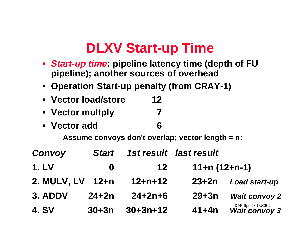#### **DLXV Start-up Time**

- **Start-up time: pipeline latency time (depth of FU pipeline); another sources of overhead**
- **Operation Start-up penalty (from CRAY-1)**
- **Vector load/store 12**
- **Vector multply 7**
- **Vector add 6**

**Assume convoys don't overlap; vector length = n:**

| Convoy       | <b>Start</b> |                | 1st result last result |                                                    |
|--------------|--------------|----------------|------------------------|----------------------------------------------------|
| <b>1.LV</b>  | $\bf{0}$     | 12             | $11+n(12+n-1)$         |                                                    |
| 2. MULV, LV  | $12+n$       | $12+n+12$      | $23 + 2n$              | <b>Load start-up</b>                               |
| 3. ADDV      | $24 + 2n$    | $24 + 2n + 6$  | $29 + 3n$              | <b>Wait convoy 2</b>                               |
| <b>4. SV</b> | $30+3n$      | $30 + 3n + 12$ | $41 + 4n$              | <b>DAP Spr.'98 @UCB 24</b><br><b>Wait convoy 3</b> |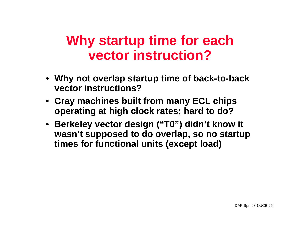#### **Why startup time for each vector instruction?**

- **Why not overlap startup time of back-to-back vector instructions?**
- **Cray machines built from many ECL chips operating at high clock rates; hard to do?**
- **Berkeley vector design ("T0") didn't know it wasn't supposed to do overlap, so no startup times for functional units (except load)**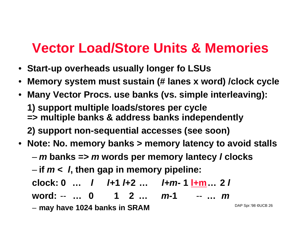## **Vector Load/Store Units & Memories**

- **Start-up overheads usually longer fo LSUs**
- **Memory system must sustain (# lanes x word) /clock cycle**
- **Many Vector Procs. use banks (vs. simple interleaving): 1) support multiple loads/stores per cycle => multiple banks & address banks independently 2) support non-sequential accesses (see soon)**
- **Note: No. memory banks > memory latency to avoid stalls** – **m banks => m words per memory lantecy l clocks**
	- **if m < l, then gap in memory pipeline:**

**clock: 0 … l l+1 l+2 … l+m- 1 l+m… 2 l word:** -- **… 0 1 2 … m-1** -- **… m**

– **may have 1024 banks in SRAM**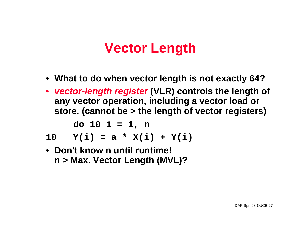## **Vector Length**

- **What to do when vector length is not exactly 64?**
- **vector-length register (VLR) controls the length of any vector operation, including a vector load or store. (cannot be > the length of vector registers)**

**do 10 i = 1, n**

10  $Y(i) = a * X(i) + Y(i)$ 

• **Don't know n until runtime! n > Max. Vector Length (MVL)?**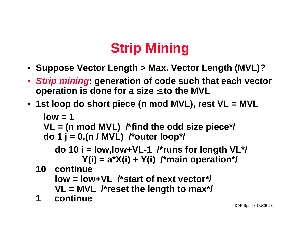# **Strip Mining**

- **Suppose Vector Length > Max. Vector Length (MVL)?**
- **Strip mining: generation of code such that each vector operation is done for a size to the MVL**
- **1st loop do short piece (n mod MVL), rest VL = MVL**

\n
$$
\text{low} = 1
$$
\n

\n\n $\text{VL} = \text{(n mod MVL)} \text{ /*find the odd size piece}^{\star}$ \n

\n\n $\text{do } 1 \text{ j} = 0, \text{(n / MVL)} \text{ /*outer loop}^{\star}$ \n

\n\n $\text{do } 10 \text{ i} = \text{low, low+VL-1} \text{ /*runs for length VL}^{\star}$ \n

\n\n $\text{Y(i)} = a^{\star}X(i) + Y(i) \text{ /*main operation}^{\star}$ \n

\n\n $\text{10} \text{ continue}$ \n

\n\n $\text{low} = \text{low+VL} \text{ /*start of next vector}^{\star}$ \n

\n\n $\text{VL} = \text{MVL} \text{ /*reset the length to max}^{\star}$ \n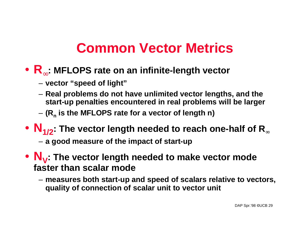## **Common Vector Metrics**

#### • **R : MFLOPS rate on an infinite-length vector**

- **vector "speed of light"**
- **Real problems do not have unlimited vector lengths, and the start-up penalties encountered in real problems will be larger**
- **(R<sup>n</sup> is the MFLOPS rate for a vector of length n)**
- **N1/2: The vector length needed to reach one-half of R**
	- **a good measure of the impact of start-up**
- **N<sup>V</sup> : The vector length needed to make vector mode faster than scalar mode** 
	- **measures both start-up and speed of scalars relative to vectors, quality of connection of scalar unit to vector unit**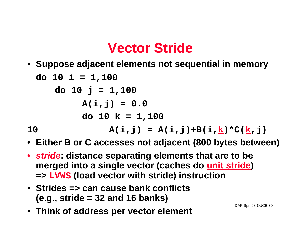#### **Vector Stride**

• **Suppose adjacent elements not sequential in memory**

**do 10 i = 1,100 do 10 j = 1,100**  $A(i, j) = 0.0$ **do 10 k = 1,100** 10 **A(i,j)** = A(i,j)+B(i,k)\*C(k,j)

- **Either B or C accesses not adjacent (800 bytes between)**
- **stride: distance separating elements that are to be merged into a single vector (caches do unit stride) => LVWS (load vector with stride) instruction**
- **Strides => can cause bank conflicts (e.g., stride = 32 and 16 banks)**
- **Think of address per vector element**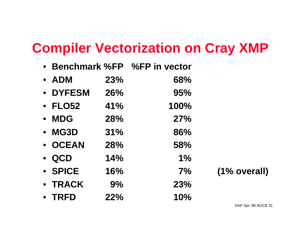## **Compiler Vectorization on Cray XMP**

• **Benchmark %FP %FP in vector**

| • ADM         | 23% | 68%   |         |
|---------------|-----|-------|---------|
| • DYFESM      | 26% | 95%   |         |
| $\cdot$ FLO52 | 41% | 100%  |         |
| • MDG         | 28% | 27%   |         |
| • MG3D        | 31% | 86%   |         |
| • OCEAN       | 28% | 58%   |         |
| · QCD         | 14% | $1\%$ |         |
| • SPICE       | 16% | 7%    | (1% ove |
| • TRACK       | 9%  | 23%   |         |

• **TRFD 22% 10%**

• **SPICE 16% 7% (1% overall)**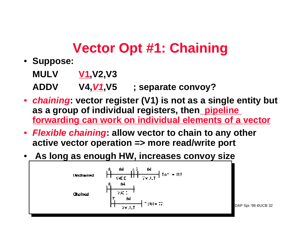# **Vector Opt #1: Chaining**

- **Suppose:**
	- **MULV V1,V2,V3**

**ADDV V4,V1,V5 ; separate convoy?**

- **chaining: vector register (V1) is not as a single entity but as a group of individual registers, then pipeline forwarding can work on individual elements of a vector**
- **Flexible chaining: allow vector to chain to any other active vector operation => more read/write port**
- • **As long as enough HW, increases convoy size**

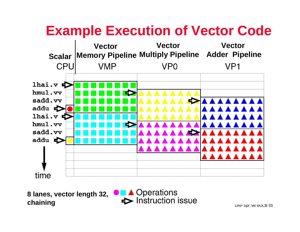

**8 lanes, vector length 32, chaining**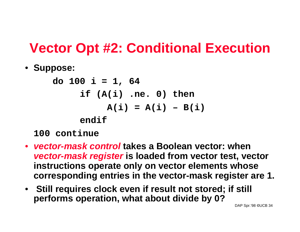## **Vector Opt #2: Conditional Execution**

• **Suppose:**

```
do 100 i = 1, 64
if (A(i) .ne. 0) then
     A(i) = A(i) – B(i)
endif
```
**100 continue**

- **vector-mask control takes a Boolean vector: when vector-mask register is loaded from vector test, vector instructions operate only on vector elements whose corresponding entries in the vector-mask register are 1.**
- • **Still requires clock even if result not stored; if still performs operation, what about divide by 0?**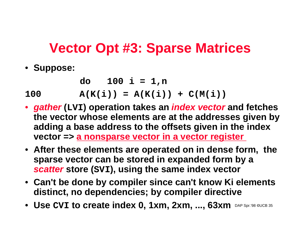#### **Vector Opt #3: Sparse Matrices**

• **Suppose:**

**do 100 i = 1,n**

100  $A(K(i)) = A(K(i)) + C(M(i))$ 

- **gather (LVI) operation takes an index vector and fetches the vector whose elements are at the addresses given by adding a base address to the offsets given in the index vector => a nonsparse vector in a vector register**
- **After these elements are operated on in dense form, the sparse vector can be stored in expanded form by a scatter store (SVI), using the same index vector**
- **Can't be done by compiler since can't know Ki elements distinct, no dependencies; by compiler directive**
- Use CVI to create index 0, 1xm, 2xm, ..., 63xm DAP Spr.'98 @UCB 35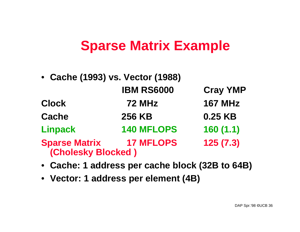#### **Sparse Matrix Example**

|                                            | • Cache (1993) vs. Vector (1988) |                 |  |
|--------------------------------------------|----------------------------------|-----------------|--|
|                                            | <b>IBM RS6000</b>                | <b>Cray YMP</b> |  |
| <b>Clock</b>                               | <b>72 MHz</b>                    | <b>167 MHz</b>  |  |
| <b>Cache</b>                               | <b>256 KB</b>                    | 0.25 KB         |  |
| <b>Linpack</b>                             | <b>140 MFLOPS</b>                | 160(1.1)        |  |
| <b>Sparse Matrix</b><br>(Cholesky Blocked) | <b>17 MFLOPS</b>                 | 125(7.3)        |  |

- **Cache: 1 address per cache block (32B to 64B)**
- **Vector: 1 address per element (4B)**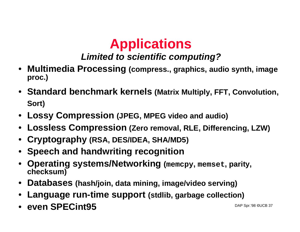

**Limited to scientific computing?**

- **Multimedia Processing (compress., graphics, audio synth, image proc.)**
- **Standard benchmark kernels (Matrix Multiply, FFT, Convolution, Sort)**
- **Lossy Compression (JPEG, MPEG video and audio)**
- **Lossless Compression (Zero removal, RLE, Differencing, LZW)**
- **Cryptography (RSA, DES/IDEA, SHA/MD5)**
- **Speech and handwriting recognition**
- **Operating systems/Networking (memcpy, memset, parity, checksum)**
- **Databases (hash/join, data mining, image/video serving)**
- **Language run-time support (stdlib, garbage collection)**
- **even SPECint95**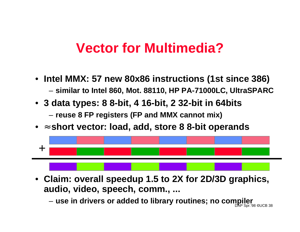#### **Vector for Multimedia?**

- **Intel MMX: 57 new 80x86 instructions (1st since 386)** – **similar to Intel 860, Mot. 88110, HP PA-71000LC, UltraSPARC**
- **3 data types: 8 8-bit, 4 16-bit, 2 32-bit in 64bits**

– **reuse 8 FP registers (FP and MMX cannot mix)**

• **short vector: load, add, store 8 8-bit operands**



• **Claim: overall speedup 1.5 to 2X for 2D/3D graphics, audio, video, speech, comm., ...**

DAP Spr.'98 **©**UCB 38 – **use in drivers or added to library routines; no compiler**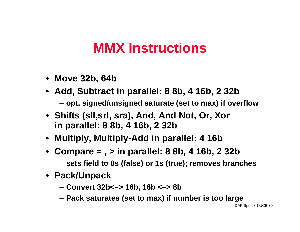#### **MMX Instructions**

- **Move 32b, 64b**
- **Add, Subtract in parallel: 8 8b, 4 16b, 2 32b**
	- **opt. signed/unsigned saturate (set to max) if overflow**
- **Shifts (sll,srl, sra), And, And Not, Or, Xor in parallel: 8 8b, 4 16b, 2 32b**
- **Multiply, Multiply-Add in parallel: 4 16b**
- **Compare = , > in parallel: 8 8b, 4 16b, 2 32b**
	- **sets field to 0s (false) or 1s (true); removes branches**
- **Pack/Unpack**
	- **Convert 32b<–> 16b, 16b <–> 8b**
	- **Pack saturates (set to max) if number is too large**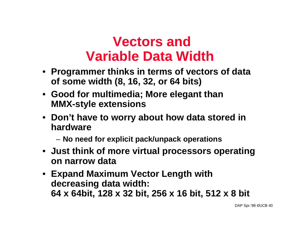#### **Vectors and Variable Data Width**

- **Programmer thinks in terms of vectors of data of some width (8, 16, 32, or 64 bits)**
- **Good for multimedia; More elegant than MMX-style extensions**
- **Don't have to worry about how data stored in hardware**
	- **No need for explicit pack/unpack operations**
- **Just think of more virtual processors operating on narrow data**
- **Expand Maximum Vector Length with decreasing data width: 64 x 64bit, 128 x 32 bit, 256 x 16 bit, 512 x 8 bit**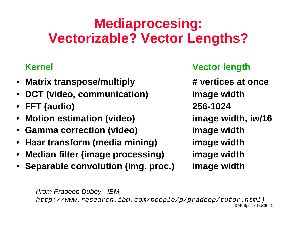## **Mediaprocesing: Vectorizable? Vector Lengths?**

- **Matrix transpose/multiply # vertices at once**
- **DCT (video, communication) image width**
- **FFT (audio) 256-1024**
- **Motion estimation (video) image width, iw/16**
- **Gamma correction (video) image width**
- **Haar transform (media mining) image width**
- **Median filter (image processing) image width**
- **Separable convolution (img. proc.) image width**

#### **Kernel Vector length**

DAP Spr.'98 **©**UCB 41 (from Pradeep Dubey - IBM, http://www.research.ibm.com/people/p/pradeep/tutor.html)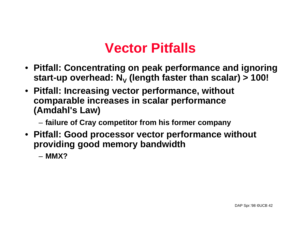#### **Vector Pitfalls**

- **Pitfall: Concentrating on peak performance and ignoring start-up overhead: N<sup>V</sup> (length faster than scalar) > 100!**
- **Pitfall: Increasing vector performance, without comparable increases in scalar performance (Amdahl's Law)**

– **failure of Cray competitor from his former company**

- **Pitfall: Good processor vector performance without providing good memory bandwidth**
	- **MMX?**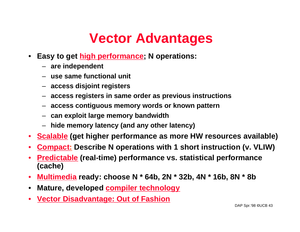# **Vector Advantages**

- **Easy to get high performance; N operations:**
	- **are independent**
	- **use same functional unit**
	- **access disjoint registers**
	- **access registers in same order as previous instructions**
	- **access contiguous memory words or known pattern**
	- **can exploit large memory bandwidth**
	- **hide memory latency (and any other latency)**
- **Scalable (get higher performance as more HW resources available)**
- **Compact: Describe N operations with 1 short instruction (v. VLIW)**
- **Predictable (real-time) performance vs. statistical performance (cache)**
- **Multimedia ready: choose N \* 64b, 2N \* 32b, 4N \* 16b, 8N \* 8b**
- **Mature, developed compiler technology**
- **Vector Disadvantage: Out of Fashion**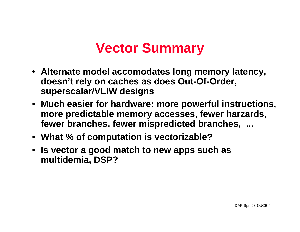## **Vector Summary**

- **Alternate model accomodates long memory latency, doesn't rely on caches as does Out-Of-Order, superscalar/VLIW designs**
- **Much easier for hardware: more powerful instructions, more predictable memory accesses, fewer harzards, fewer branches, fewer mispredicted branches, ...**
- **What % of computation is vectorizable?**
- **Is vector a good match to new apps such as multidemia, DSP?**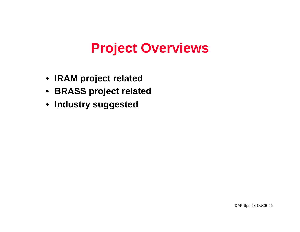## **Project Overviews**

- **IRAM project related**
- **BRASS project related**
- **Industry suggested**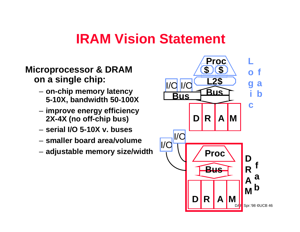#### **IRAM Vision Statement**

#### **Microprocessor & DRAM on a single chip:**

- **on-chip memory latency 5-10X, bandwidth 50-100X**
- **improve energy efficiency 2X-4X (no off-chip bus)**
- **serial I/O 5-10X v. buses**
- **smaller board area/volume**
- 

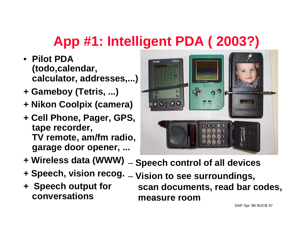# **App #1: Intelligent PDA ( 2003?)**

- **Pilot PDA (todo,calendar, calculator, addresses,...)**
- **+ Gameboy (Tetris, ...)**
- **+ Nikon Coolpix (camera)**
- **+ Cell Phone, Pager, GPS, tape recorder, TV remote, am/fm radio, garage door opener, ...**
- **+ Wireless data (WWW)** – **Speech control of all devices**
- **+ Speech, vision recog.** – **Vision to see surroundings,**
- **+ Speech output for conversations**

 **scan documents, read bar codes, measure room**

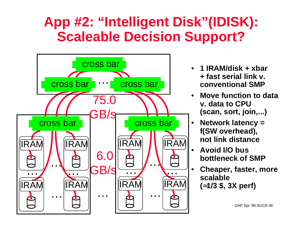## **App #2: "Intelligent Disk"(IDISK): Scaleable Decision Support?**



- **1 IRAM/disk + xbar + fast serial link v. conventional SMP**
- **Move function to data v. data to CPU (scan, sort, join,...)**
- **Network latency = f(SW overhead), not link distance**
	- **Avoid I/O bus bottleneck of SMP**
	- **Cheaper, faster, more scalable**
		-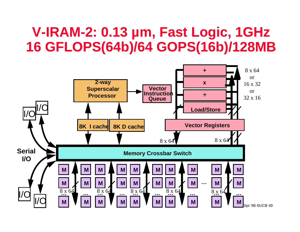#### **V-IRAM-2: 0.13 µm, Fast Logic, 1GHz 16 GFLOPS(64b)/64 GOPS(16b)/128MB**

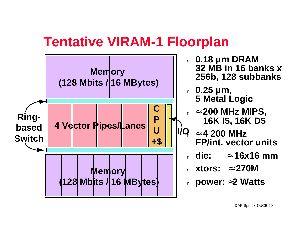#### **Tentative VIRAM-1 Floorplan**

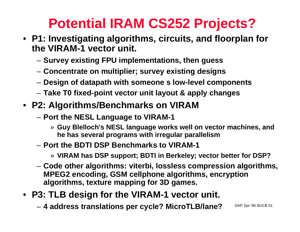# **Potential IRAM CS252 Projects?**

- **P1: Investigating algorithms, circuits, and floorplan for the VIRAM-1 vector unit.**
	- **Survey existing FPU implementations, then guess**
	- **Concentrate on multiplier; survey existing designs**
	- **Design of datapath with someone s low-level components**
	- **Take T0 fixed-point vector unit layout & apply changes**
- **P2: Algorithms/Benchmarks on VIRAM**
	- **Port the NESL Language to VIRAM-1**
		- » **Guy Blelloch's NESL language works well on vector machines, and he has several programs with irregular parallelism**
	- **Port the BDTI DSP Benchmarks to VIRAM-1**
		- » **VIRAM has DSP support; BDTI in Berkeley; vector better for DSP?**
	- **Code other algorithms: viterbi, lossless compression algorithms, MPEG2 encoding, GSM cellphone algorithms, encryption algorithms, texture mapping for 3D games.**
- **P3: TLB design for the VIRAM-1 vector unit.**
	- DAP Spr.'98 **©**UCB 51 – **4 address translations per cycle? MicroTLB/lane?**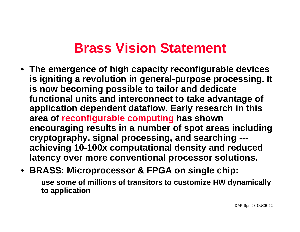#### **Brass Vision Statement**

- **The emergence of high capacity reconfigurable devices is igniting a revolution in general-purpose processing. It is now becoming possible to tailor and dedicate functional units and interconnect to take advantage of application dependent dataflow. Early research in this area of reconfigurable computing has shown encouraging results in a number of spot areas including cryptography, signal processing, and searching -- achieving 10-100x computational density and reduced latency over more conventional processor solutions.**
- **BRASS: Microprocessor & FPGA on single chip:**
	- **use some of millions of transitors to customize HW dynamically to application**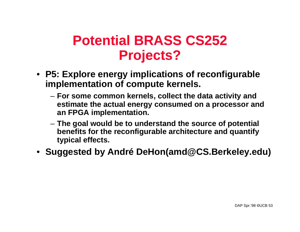#### **Potential BRASS CS252 Projects?**

- **P5: Explore energy implications of reconfigurable implementation of compute kernels.**
	- **For some common kernels, collect the data activity and estimate the actual energy consumed on a processor and an FPGA implementation.**
	- **The goal would be to understand the source of potential benefits for the reconfigurable architecture and quantify typical effects.**
- **Suggested by André DeHon(amd@CS.Berkeley.edu)**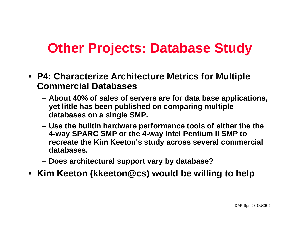## **Other Projects: Database Study**

- **P4: Characterize Architecture Metrics for Multiple Commercial Databases**
	- **About 40% of sales of servers are for data base applications, yet little has been published on comparing multiple databases on a single SMP.**
	- **Use the builtin hardware performance tools of either the the 4-way SPARC SMP or the 4-way Intel Pentium II SMP to recreate the Kim Keeton's study across several commercial databases.**
	- **Does architectural support vary by database?**
- **Kim Keeton (kkeeton@cs) would be willing to help**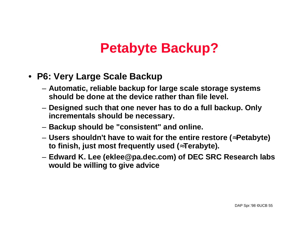## **Petabyte Backup?**

- **P6: Very Large Scale Backup**
	- **Automatic, reliable backup for large scale storage systems should be done at the device rather than file level.**
	- **Designed such that one never has to do a full backup. Only incrementals should be necessary.**
	- **Backup should be "consistent" and online.**
	- **Users shouldn't have to wait for the entire restore ( Petabyte) to finish, just most frequently used ( Terabyte).**
	- **Edward K. Lee (eklee@pa.dec.com) of DEC SRC Research labs would be willing to give advice**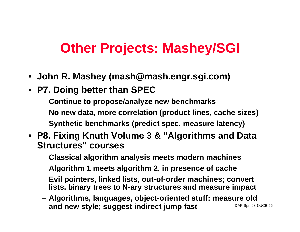## **Other Projects: Mashey/SGI**

- **John R. Mashey (mash@mash.engr.sgi.com)**
- **P7. Doing better than SPEC**
	- **Continue to propose/analyze new benchmarks**
	- **No new data, more correlation (product lines, cache sizes)**
	- **Synthetic benchmarks (predict spec, measure latency)**
- **P8. Fixing Knuth Volume 3 & "Algorithms and Data Structures" courses**
	- **Classical algorithm analysis meets modern machines**
	- **Algorithm 1 meets algorithm 2, in presence of cache**
	- **Evil pointers, linked lists, out-of-order machines; convert lists, binary trees to N-ary structures and measure impact**
	- DAP Spr.'98 **©**UCB 56 – **Algorithms, languages, object-oriented stuff; measure old and new style; suggest indirect jump fast**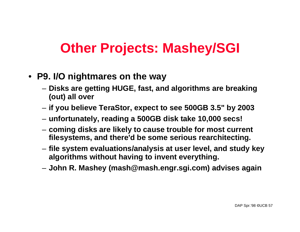## **Other Projects: Mashey/SGI**

- **P9. I/O nightmares on the way**
	- **Disks are getting HUGE, fast, and algorithms are breaking (out) all over**
	- **if you believe TeraStor, expect to see 500GB 3.5" by 2003**
	- **unfortunately, reading a 500GB disk take 10,000 secs!**
	- **coming disks are likely to cause trouble for most current filesystems, and there'd be some serious rearchitecting.**
	- **file system evaluations/analysis at user level, and study key algorithms without having to invent everything.**
	- **John R. Mashey (mash@mash.engr.sgi.com) advises again**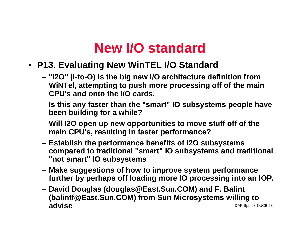#### **New I/O standard**

- **P13. Evaluating New WinTEL I/O Standard**
	- **"I2O" (I-to-O) is the big new I/O architecture definition from WiNTel, attempting to push more processing off of the main CPU's and onto the I/O cards.**
	- **Is this any faster than the "smart" IO subsystems people have been building for a while?**
	- **Will I2O open up new opportunities to move stuff off of the main CPU's, resulting in faster performance?**
	- **Establish the performance benefits of I2O subsystems compared to traditional "smart" IO subsystems and traditional "not smart" IO subsystems**
	- **Make suggestions of how to improve system performance further by perhaps off loading more IO processing into an IOP.**
	- DAP Spr.'98 **©**UCB 58 – **David Douglas (douglas@East.Sun.COM) and F. Balint (balintf@East.Sun.COM) from Sun Microsystems willing to advise**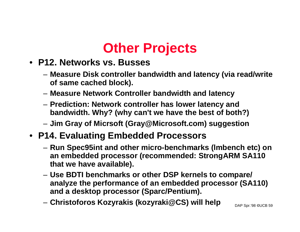## **Other Projects**

- **P12. Networks vs. Busses**
	- **Measure Disk controller bandwidth and latency (via read/write of same cached block).**
	- **Measure Network Controller bandwidth and latency**
	- **Prediction: Network controller has lower latency and bandwidth. Why? (why can't we have the best of both?)**
	- **Jim Gray of Micrsoft (Gray@Microsoft.com) suggestion**
- **P14. Evaluating Embedded Processors**
	- **Run Spec95int and other micro-benchmarks (lmbench etc) on an embedded processor (recommended: StrongARM SA110 that we have available).**
	- **Use BDTI benchmarks or other DSP kernels to compare/ analyze the performance of an embedded processor (SA110) and a desktop processor (Sparc/Pentium).**
	- **Christoforos Kozyrakis (kozyraki@CS) will help**